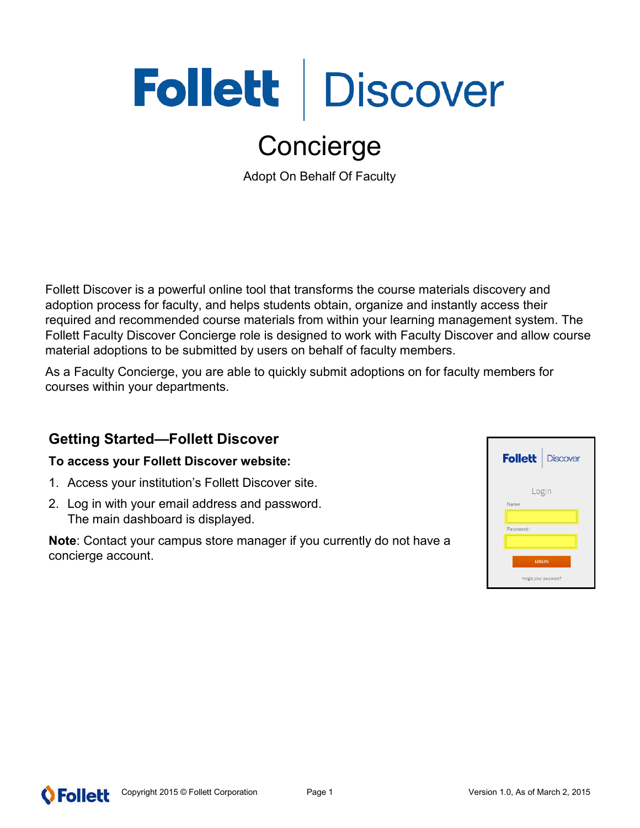# Follett | Discover

# Concierge

Adopt On Behalf Of Faculty

Follett Discover is a powerful online tool that transforms the course materials discovery and adoption process for faculty, and helps students obtain, organize and instantly access their required and recommended course materials from within your learning management system. The Follett Faculty Discover Concierge role is designed to work with Faculty Discover and allow course material adoptions to be submitted by users on behalf of faculty members.

As a Faculty Concierge, you are able to quickly submit adoptions on for faculty members for courses within your departments.

# **Getting Started—Follett Discover**

#### **To access your Follett Discover website:**

- 1. Access your institution's Follett Discover site.
- 2. Log in with your email address and password. The main dashboard is displayed.

**Note**: Contact your campus store manager if you currently do not have a concierge account.



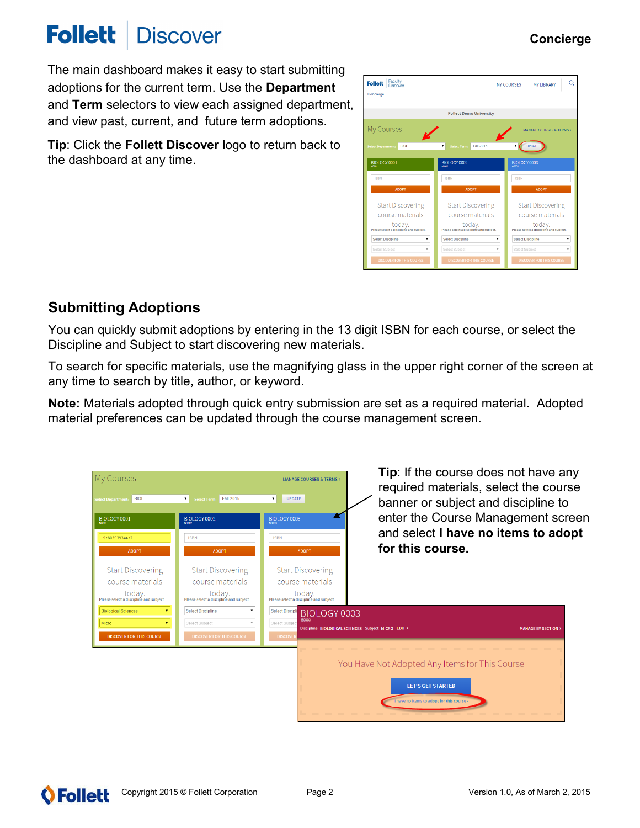#### Copyright 2015 © Follett Corporation Page 2 Version 1.0, As of March 2, 2015

**O** Follett

### **Follett Discover**

The main dashboard makes it easy to start submitting adoptions for the current term. Use the **Department** and **Term** selectors to view each assigned department, and view past, current, and future term adoptions.

**Tip**: Click the **Follett Discover** logo to return back to the dashboard at any time.

# **Submitting Adoptions**

You can quickly submit adoptions by entering in the 13 digit ISBN for each course, or select the Discipline and Subject to start discovering new materials.

To search for specific materials, use the magnifying glass in the upper right corner of the screen at any time to search by title, author, or keyword.

**Note:** Materials adopted through quick entry submission are set as a required material. Adopted material preferences can be updated through the course management screen.



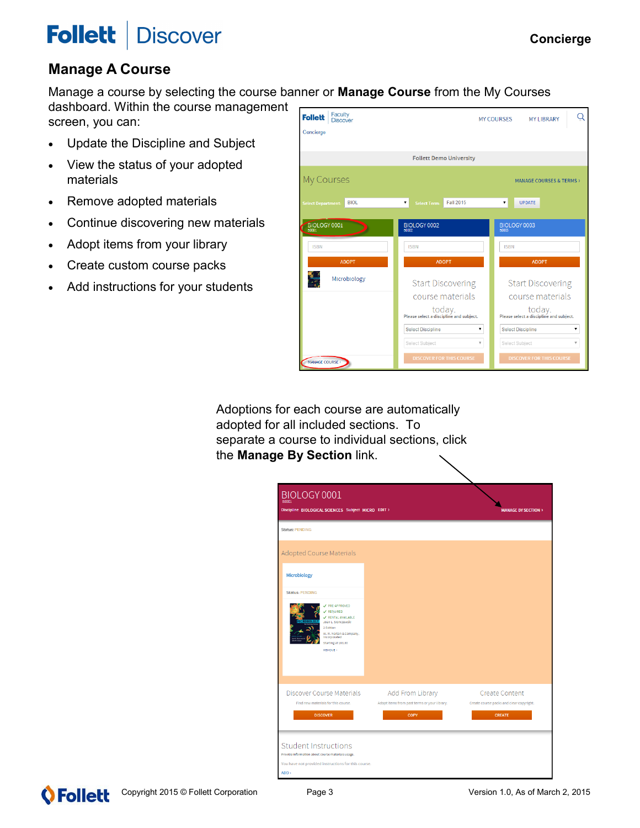#### **Follett Discover**

## **Manage A Course**

Manage a course by selecting the course banner or **Manage Course** from the My Courses

dashboard. Within the course management screen, you can:

- Update the Discipline and Subject
- View the status of your adopted materials
- Remove adopted materials
- Continue discovering new materials
- Adopt items from your library
- Create custom course packs
- Add instructions for your students

| Faculty<br><b>Follett</b><br><b>Discover</b> |                                                                                                             | C<br><b>MY COURSES</b><br><b>MY LIBRARY</b>                                                                |
|----------------------------------------------|-------------------------------------------------------------------------------------------------------------|------------------------------------------------------------------------------------------------------------|
| Concierge                                    |                                                                                                             |                                                                                                            |
|                                              |                                                                                                             |                                                                                                            |
|                                              | <b>Follett Demo University</b>                                                                              |                                                                                                            |
| My Courses                                   |                                                                                                             | <b>MANAGE COURSES &amp; TERMS &gt;</b>                                                                     |
| <b>BIOL</b><br><b>Select Department:</b>     | Fall 2015<br>۷.<br><b>Select Term:</b>                                                                      | ۰.<br><b>UPDATE</b>                                                                                        |
|                                              |                                                                                                             |                                                                                                            |
| BIOLOGY 0001                                 | BIOLOGY 0002<br>B0002                                                                                       | BIOLOGY 0003<br><b>B0003</b>                                                                               |
| <b>ISBN</b>                                  | <b>ISBN</b>                                                                                                 | <b>ISBN</b>                                                                                                |
| <b>ADOPT</b>                                 | <b>ADOPT</b>                                                                                                | <b>ADOPT</b>                                                                                               |
| ÷<br>Microbiology                            | <b>Start Discovering</b>                                                                                    | <b>Start Discovering</b>                                                                                   |
|                                              | course materials                                                                                            | course materials                                                                                           |
|                                              | $\label{eq:1} \begin{array}{c} \text{today.} \\ \text{Please select a discipline and subject.} \end{array}$ | $\label{eq:1} \begin{array}{c} \text{today.}\\ \text{Please select a discipline and subject.} \end{array}$ |
|                                              | <b>Select Discipline</b><br>۳.                                                                              | <b>Select Discipline</b><br>۰.                                                                             |
|                                              | $\boldsymbol{\mathrm{v}}$<br>Select Subject                                                                 | Select Subject<br>$\overline{\mathbf{v}}$                                                                  |
| <b>MANAGE COURSE</b>                         | <b>DISCOVER FOR THIS COURSE</b>                                                                             | <b>DISCOVER FOR THIS COURSE</b>                                                                            |

Adoptions for each course are automatically adopted for all included sections. To separate a course to individual sections, click the **Manage By Section** link.